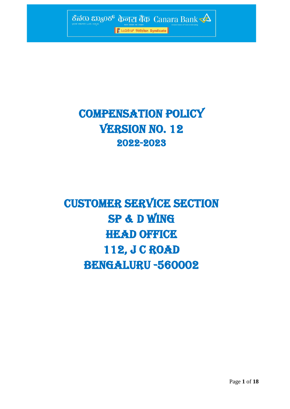

# COMPENSATION Policy **VERSION NO. 12** 2022-2023

# Customer service section SP & D Wing **HEAD OFFICE** 112, J C ROAD BENGALURU -560002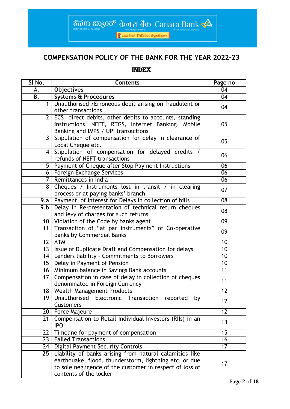ಕೆನರು  $20,600$  केनरा बैंक Canara Bank $\triangle$ 

।<br>| हैं ೩०८३९४७ सिडिकेट Syndicate |

## **COMPENSATION POLICY OF THE BANK FOR THE YEAR 2022-23**

## INDEX

| SI No.          | <b>Contents</b>                                                                                                                                     | Page no         |
|-----------------|-----------------------------------------------------------------------------------------------------------------------------------------------------|-----------------|
| A.              | <b>Objectives</b>                                                                                                                                   | 04              |
| B.              | <b>Systems &amp; Procedures</b>                                                                                                                     | 04              |
| $\mathbf{1}$    | Unauthorised / Erroneous debit arising on fraudulent or<br>other transactions                                                                       | 04              |
| $\overline{2}$  | ECS, direct debits, other debits to accounts, standing<br>instructions, NEFT, RTGS, Internet Banking, Mobile<br>Banking and IMPS / UPI transactions | 05              |
| 3               | Stipulation of compensation for delay in clearance of<br>Local Cheque etc.                                                                          | 05              |
| 4               | Stipulation of compensation for delayed credits /<br>refunds of NEFT transactions                                                                   | 06              |
| 5               | Payment of Cheque after Stop Payment Instructions                                                                                                   | 06              |
| 6               | Foreign Exchange Services                                                                                                                           | 06              |
| 7               | Remittances in India                                                                                                                                | 06              |
| 8               | Cheques / Instruments lost in transit / in clearing<br>process or at paying banks' branch                                                           | 07              |
| 9.a             | Payment of Interest for Delays in collection of bills                                                                                               | 08              |
| 9.b             | Delay in Re-presentation of technical return cheques<br>and levy of charges for such returns                                                        |                 |
| 10 <sup>°</sup> | Violation of the Code by banks agent                                                                                                                |                 |
| 11              | Transaction of "at par instruments" of Co-operative<br>banks by Commercial Banks                                                                    | 09              |
| 12              | <b>ATM</b>                                                                                                                                          | 10              |
| 13              | Issue of Duplicate Draft and Compensation for delays                                                                                                | 10              |
| 14              | Lenders liability - Commitments to Borrowers                                                                                                        | 10              |
| 15              | Delay in Payment of Pension                                                                                                                         | 10              |
| 16              | Minimum balance in Savings Bank accounts                                                                                                            | 11              |
| 17              | Compensation in case of delay in collection of cheques<br>denominated in Foreign Currency                                                           | 11              |
| 18              | <b>Wealth Management Products</b>                                                                                                                   | 12              |
| 19              | Unauthorised Electronic Transaction<br>reported<br>by<br><b>Customers</b>                                                                           | 12              |
| 20              | Force Majeure                                                                                                                                       | 12              |
| 21              | Compensation to Retail Individual Investors (RIIs) in an<br><b>IPO</b>                                                                              | 13              |
| 22              | Timeline for payment of compensation                                                                                                                | 15              |
| 23              | <b>Failed Transactions</b>                                                                                                                          | 16              |
| 24              | <b>Digital Payment Security Controls</b>                                                                                                            | $\overline{17}$ |
| 25              | Liability of banks arising from natural calamities like                                                                                             |                 |
|                 | earthquake, flood, thunderstorm, lightning etc. or due<br>to sole negligence of the customer in respect of loss of<br>contents of the locker        | 17              |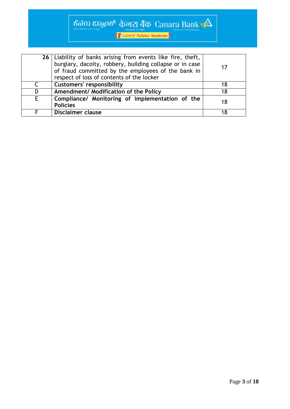# ชีพีอง  $\cos 2\theta$   $\frac{1}{2}$   $\cos \theta$   $\frac{1}{2}$   $\cos \theta$   $\frac{1}{2}$   $\cos \theta$   $\frac{1}{2}$   $\cos \theta$   $\frac{1}{2}$   $\cos \theta$   $\frac{1}{2}$   $\cos \theta$

भारत सरकार का उपक्रम<br>| हैं श्रे**ं** अपने स्टिकेट Syndicate |

|   | 26   Liability of banks arising from events like fire, theft,<br>burglary, dacoity, robbery, building collapse or in case<br>of fraud committed by the employees of the bank in<br>respect of loss of contents of the locker | 17 |
|---|------------------------------------------------------------------------------------------------------------------------------------------------------------------------------------------------------------------------------|----|
| C | <b>Customers' responsibility</b>                                                                                                                                                                                             | 18 |
| D | Amendment/ Modification of the Policy                                                                                                                                                                                        | 18 |
| E | Compliance/ Monitoring of implementation of the<br><b>Policies</b>                                                                                                                                                           | 18 |
|   | <b>Disclaimer clause</b>                                                                                                                                                                                                     | 18 |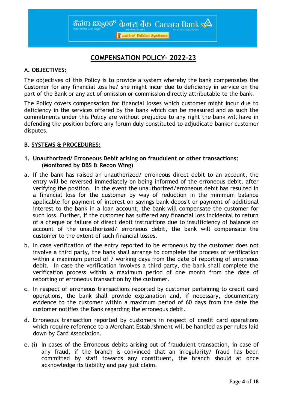<mark>।</mark> ਇಸಿಂಡಿಕೇಟ್ सिंडिकेट Syndicate

## **COMPENSATION POLICY- 2022-23**

## **A. OBJECTIVES:**

The objectives of this Policy is to provide a system whereby the bank compensates the Customer for any financial loss he/ she might incur due to deficiency in service on the part of the Bank or any act of omission or commission directly attributable to the bank.

The Policy covers compensation for financial losses which customer might incur due to deficiency in the services offered by the bank which can be measured and as such the commitments under this Policy are without prejudice to any right the bank will have in defending the position before any forum duly constituted to adjudicate banker customer disputes.

## **B. SYSTEMS & PROCEDURES:**

## **1. Unauthorized/ Erroneous Debit arising on fraudulent or other transactions: (Monitored by DBS & Recon Wing)**

- a. If the bank has raised an unauthorized/ erroneous direct debit to an account, the entry will be reversed immediately on being informed of the erroneous debit, after verifying the position. In the event the unauthorized/erroneous debit has resulted in a financial loss for the customer by way of reduction in the minimum balance applicable for payment of interest on savings bank deposit or payment of additional interest to the bank in a loan account, the bank will compensate the customer for such loss. Further, if the customer has suffered any financial loss incidental to return of a cheque or failure of direct debit instructions due to insufficiency of balance on account of the unauthorized/ erroneous debit, the bank will compensate the customer to the extent of such financial losses.
- b. In case verification of the entry reported to be erroneous by the customer does not involve a third party, the bank shall arrange to complete the process of verification within a maximum period of 7 working days from the date of reporting of erroneous debit. In case the verification involves a third party, the bank shall complete the verification process within a maximum period of one month from the date of reporting of erroneous transaction by the customer.
- c. In respect of erroneous transactions reported by customer pertaining to credit card operations, the bank shall provide explanation and, if necessary, documentary evidence to the customer within a maximum period of 60 days from the date the customer notifies the Bank regarding the erroneous debit.
- d. Erroneous transaction reported by customers in respect of credit card operations which require reference to a Merchant Establishment will be handled as per rules laid down by Card Association.
- e. (i) In cases of the Erroneous debits arising out of fraudulent transaction, in case of any fraud, if the branch is convinced that an irregularity/ fraud has been committed by staff towards any constituent, the branch should at once acknowledge its liability and pay just claim.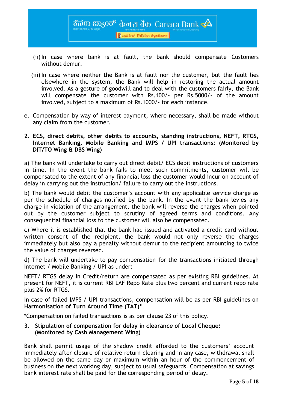<mark>। हैं श्रंट अंग्रेडिकेट Syndicate</mark>

- (ii)In case where bank is at fault, the bank should compensate Customers without demur.
- (iii) In case where neither the Bank is at fault nor the customer, but the fault lies elsewhere in the system, the Bank will help in restoring the actual amount involved. As a gesture of goodwill and to deal with the customers fairly, the Bank will compensate the customer with Rs.100/- per Rs.5000/- of the amount involved, subject to a maximum of Rs.1000/- for each instance.
- e. Compensation by way of interest payment, where necessary, shall be made without any claim from the customer.
- **2. ECS, direct debits, other debits to accounts, standing instructions, NEFT, RTGS, Internet Banking, Mobile Banking and IMPS / UPI transactions: (Monitored by DIT/TO Wing & DBS Wing)**

a) The bank will undertake to carry out direct debit/ ECS debit instructions of customers in time. In the event the bank fails to meet such commitments, customer will be compensated to the extent of any financial loss the customer would incur on account of delay in carrying out the instruction/ failure to carry out the instructions.

b) The bank would debit the customer's account with any applicable service charge as per the schedule of charges notified by the bank. In the event the bank levies any charge in violation of the arrangement, the bank will reverse the charges when pointed out by the customer subject to scrutiny of agreed terms and conditions. Any consequential financial loss to the customer will also be compensated.

c) Where it is established that the bank had issued and activated a credit card without written consent of the recipient, the bank would not only reverse the charges immediately but also pay a penalty without demur to the recipient amounting to twice the value of charges reversed.

d) The bank will undertake to pay compensation for the transactions initiated through Internet / Mobile Banking / UPI as under:

NEFT/ RTGS delay in Credit/return are compensated as per existing RBI guidelines. At present for NEFT, it is current RBI LAF Repo Rate plus two percent and current repo rate plus 2% for RTGS.

In case of failed IMPS / UPI transactions, compensation will be as per RBI guidelines on **Harmonisation of Turn Around Time (TAT)\***.

\*Compensation on failed transactions is as per clause 23 of this policy.

## **3. Stipulation of compensation for delay in clearance of Local Cheque: (Monitored by Cash Management Wing)**

Bank shall permit usage of the shadow credit afforded to the customers' account immediately after closure of relative return clearing and in any case, withdrawal shall be allowed on the same day or maximum within an hour of the commencement of business on the next working day, subject to usual safeguards. Compensation at savings bank interest rate shall be paid for the corresponding period of delay.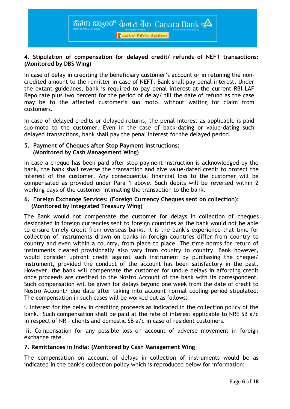<mark>।</mark> ਇੰಸಿಂಡಿಕೇಟ್ सिडिकेट Syndicate

## **4. Stipulation of compensation for delayed credit/ refunds of NEFT transactions: (Monitored by DBS Wing)**

In case of delay in crediting the beneficiary customer's account or in retuning the noncredited amount to the remitter in case of NEFT, Bank shall pay penal interest. Under the extant guidelines, bank is required to pay penal interest at the current RBI LAF Repo rate plus two percent for the period of delay/ till the date of refund as the case may be to the affected customer's suo moto, without waiting for claim from customers.

In case of delayed credits or delayed returns, the penal interest as applicable is paid suo-moto to the customer. Even in the case of back-dating or value-dating such delayed transactions, bank shall pay the penal interest for the delayed period.

## **5. Payment of Cheques after Stop Payment Instructions: (Monitored by Cash Management Wing)**

In case a cheque has been paid after stop payment instruction is acknowledged by the bank, the bank shall reverse the transaction and give value-dated credit to protect the interest of the customer. Any consequential financial loss to the customer will be compensated as provided under Para 1 above. Such debits will be reversed within 2 working days of the customer intimating the transaction to the bank.

## **6. Foreign Exchange Services: (Foreign Currency Cheques sent on collection): (Monitored by Integrated Treasury Wing)**

The Bank would not compensate the customer for delays in collection of cheques designated in foreign currencies sent to foreign countries as the bank would not be able to ensure timely credit from overseas banks. It is the bank's experience that time for collection of instruments drawn on banks in foreign countries differ from country to country and even within a country, from place to place. The time norms for return of instruments cleared provisionally also vary from country to country. Bank however, would consider upfront credit against such instrument by purchasing the cheque/ instrument, provided the conduct of the account has been satisfactory in the past. However, the bank will compensate the customer for undue delays in affording credit once proceeds are credited to the Nostro Account of the bank with its correspondent. Such compensation will be given for delays beyond one week from the date of credit to Nostro Account/ due date after taking into account normal cooling period stipulated. The compensation in such cases will be worked out as follows:

i. Interest for the delay in crediting proceeds as indicated in the collection policy of the bank. Such compensation shall be paid at the rate of interest applicable to NRE SB a/c in respect of NR - clients and domestic SB a/c in case of resident customers.

ii. Compensation for any possible loss on account of adverse movement in foreign exchange rate

## **7. Remittances in India: (Monitored by Cash Management Wing**

The compensation on account of delays in collection of instruments would be as indicated in the bank's collection policy which is reproduced below for information: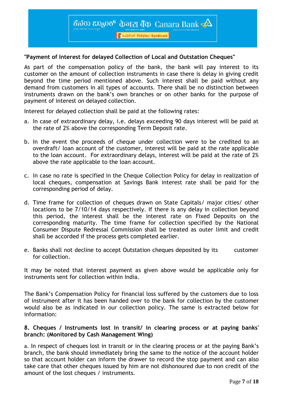<mark>।</mark> ਇੰಸಿಂಡಿಕೇಟ್ सिडिकेट Syndicate

## **"Payment of Interest for delayed Collection of Local and Outstation Cheques"**

As part of the compensation policy of the bank, the bank will pay interest to its customer on the amount of collection instruments in case there is delay in giving credit beyond the time period mentioned above. Such interest shall be paid without any demand from customers in all types of accounts. There shall be no distinction between instruments drawn on the bank's own branches or on other banks for the purpose of payment of interest on delayed collection.

Interest for delayed collection shall be paid at the following rates:

- a. In case of extraordinary delay, i.e. delays exceeding 90 days interest will be paid at the rate of 2% above the corresponding Term Deposit rate.
- b. In the event the proceeds of cheque under collection were to be credited to an overdraft/ loan account of the customer, interest will be paid at the rate applicable to the loan account. For extraordinary delays, interest will be paid at the rate of 2% above the rate applicable to the loan account.
- c. In case no rate is specified in the Cheque Collection Policy for delay in realization of local cheques, compensation at Savings Bank interest rate shall be paid for the corresponding period of delay.
- d. Time frame for collection of cheques drawn on State Capitals/ major cities/ other locations to be 7/10/14 days respectively. If there is any delay in collection beyond this period, the interest shall be the interest rate on Fixed Deposits on the corresponding maturity. The time frame for collection specified by the National Consumer Dispute Redressal Commission shall be treated as outer limit and credit shall be accorded if the process gets completed earlier.
- e. Banks shall not decline to accept Outstation cheques deposited by its customer for collection.

It may be noted that interest payment as given above would be applicable only for instruments sent for collection within India.

The Bank's Compensation Policy for financial loss suffered by the customers due to loss of instrument after it has been handed over to the bank for collection by the customer would also be as indicated in our collection policy. The same is extracted below for information:

### **8. Cheques / Instruments lost in transit/ in clearing process or at paying banks' branch: (Monitored by Cash Management Wing)**

a. In respect of cheques lost in transit or in the clearing process or at the paying Bank's branch, the bank should immediately bring the same to the notice of the account holder so that account holder can inform the drawer to record the stop payment and can also take care that other cheques issued by him are not dishonoured due to non credit of the amount of the lost cheques / instruments.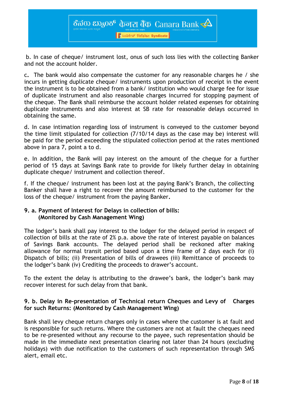<mark>।</mark> ਇੰಸಿಂಡಿಕೇಟ್ सिडिकेट Syndicate

b. In case of cheque/ instrument lost, onus of such loss lies with the collecting Banker and not the account holder.

c**.** The bank would also compensate the customer for any reasonable charges he / she incurs in getting duplicate cheque/ instruments upon production of receipt in the event the instrument is to be obtained from a bank/ institution who would charge fee for issue of duplicate instrument and also reasonable charges incurred for stopping payment of the cheque. The Bank shall reimburse the account holder related expenses for obtaining duplicate instruments and also interest at SB rate for reasonable delays occurred in obtaining the same.

d. In case intimation regarding loss of instrument is conveyed to the customer beyond the time limit stipulated for collection (7/10/14 days as the case may be) interest will be paid for the period exceeding the stipulated collection period at the rates mentioned above in para 7, point a to d.

e. In addition, the Bank will pay interest on the amount of the cheque for a further period of 15 days at Savings Bank rate to provide for likely further delay in obtaining duplicate cheque/ instrument and collection thereof.

f. If the cheque/ instrument has been lost at the paying Bank's Branch, the collecting Banker shall have a right to recover the amount reimbursed to the customer for the loss of the cheque/ instrument from the paying Banker**.** 

## **9. a. Payment of Interest for Delays in collection of bills: (Monitored by Cash Management Wing)**

The lodger's bank shall pay interest to the lodger for the delayed period in respect of collection of bills at the rate of 2% p.a. above the rate of interest payable on balances of Savings Bank accounts. The delayed period shall be reckoned after making allowance for normal transit period based upon a time frame of 2 days each for (i) Dispatch of bills; (ii) Presentation of bills of drawees (iii) Remittance of proceeds to the lodger's bank (iv) Crediting the proceeds to drawer's account.

To the extent the delay is attributing to the drawee's bank, the lodger's bank may recover interest for such delay from that bank.

## **9. b. Delay in Re-presentation of Technical return Cheques and Levy of Charges for such Returns: (Monitored by Cash Management Wing)**

Bank shall levy cheque return charges only in cases where the customer is at fault and is responsible for such returns. Where the customers are not at fault the cheques need to be re-presented without any recourse to the payee, such representation should be made in the immediate next presentation clearing not later than 24 hours (excluding holidays) with due notification to the customers of such representation through SMS alert, email etc.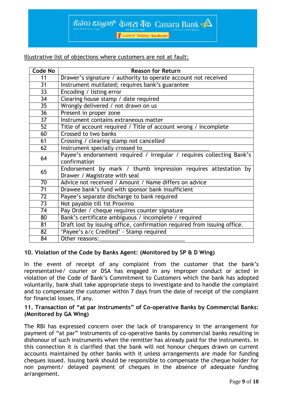<mark>।</mark> ਇੰਪਰਸ਼ੇਖ ਵਿੱਚਿਆ ਕਿ Syndicate

Illustrative list of objections where customers are not at fault:

| Code No         | <b>Reason for Return</b>                                                 |  |  |
|-----------------|--------------------------------------------------------------------------|--|--|
| 11              | Drawer's signature / authority to operate account not received           |  |  |
| $\overline{31}$ | Instrument mutilated; requires bank's guarantee                          |  |  |
| $\overline{33}$ | Encoding / listing error                                                 |  |  |
| 34              | Clearing house stamp / date required                                     |  |  |
| 35              | Wrongly delivered / not drawn on us                                      |  |  |
| 36              | Present in proper zone                                                   |  |  |
| 37              | Instrument contains extraneous matter                                    |  |  |
| $\overline{52}$ | Title of account required / Title of account wrong / incomplete          |  |  |
| 60              | Crossed to two banks                                                     |  |  |
| 61              | Crossing / clearing stamp not cancelled                                  |  |  |
| 62              | Instrument specially crossed to                                          |  |  |
| 64              | Payee's endorsement required / irregular / requires collecting Bank's    |  |  |
|                 | confirmation                                                             |  |  |
| 65              | Endorsement by mark / thumb impression requires attestation by           |  |  |
|                 | Drawer / Magistrate with seal                                            |  |  |
| 70              | Advice not received / Amount / Name differs on advice                    |  |  |
| 71              | Drawee bank's fund with sponsor bank insufficient                        |  |  |
| 72              | Payee's separate discharge to bank required                              |  |  |
| 73              | Not payable till 1st Proximo                                             |  |  |
| 74              | Pay Order / cheque requires counter signature                            |  |  |
| 80              | Bank's certificate ambiguous / incomplete / required                     |  |  |
| 81              | Draft lost by issuing office, confirmation required from issuing office. |  |  |
| 82              | 'Payee's a/c Credited' - Stamp required                                  |  |  |
| 84              | Other reasons:                                                           |  |  |

## **10. Violation of the Code by Banks Agent: (Monitored by SP & D Wing)**

In the event of receipt of any complaint from the customer that the bank's representative/ courier or DSA has engaged in any improper conduct or acted in violation of the Code of Bank's Commitment to Customers which the bank has adopted voluntarily, bank shall take appropriate steps to investigate and to handle the complaint and to compensate the customer within 7 days from the date of receipt of the complaint for financial losses, if any.

### **11. Transaction of "at par instruments" of Co-operative Banks by Commercial Banks: (Monitored by GA Wing)**

The RBI has expressed concern over the lack of transparency in the arrangement for payment of "at par" instruments of co-operative banks by commercial banks resulting in dishonour of such instruments when the remitter has already paid for the instruments. In this connection it is clarified that the bank will not honour cheques drawn on current accounts maintained by other banks with it unless arrangements are made for funding cheques issued. Issuing bank should be responsible to compensate the cheque holder for non payment/ delayed payment of cheques in the absence of adequate funding arrangement.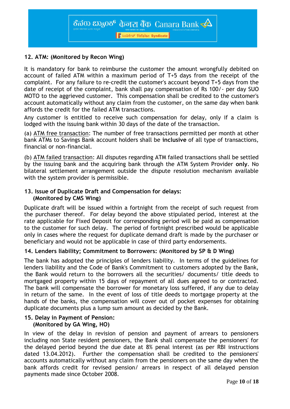## | हैं 2003 हैं सिडिकेट Syndicate

## **12. ATM: (Monitored by Recon Wing)**

It is mandatory for bank to reimburse the customer the amount wrongfully debited on account of failed ATM within a maximum period of T+5 days from the receipt of the complaint. For any failure to re-credit the customer's account beyond T+5 days from the date of receipt of the complaint, bank shall pay compensation of Rs 100/- per day SUO MOTO to the aggrieved customer. This compensation shall be credited to the customer's account automatically without any claim from the customer, on the same day when bank affords the credit for the failed ATM transactions.

Any customer is entitled to receive such compensation for delay, only if a claim is lodged with the issuing bank within 30 days of the date of the transaction.

(a) ATM free transaction: The number of free transactions permitted per month at other bank ATMs to Savings Bank account holders shall be **inclusive** of all type of transactions, financial or non-financial.

(b) ATM failed transaction: All disputes regarding ATM failed transactions shall be settled by the issuing bank and the acquiring bank through the ATM System Provider **only**. No bilateral settlement arrangement outside the dispute resolution mechanism available with the system provider is permissible.

## **13. Issue of Duplicate Draft and Compensation for delays: (Monitored by CMS Wing)**

Duplicate draft will be issued within a fortnight from the receipt of such request from the purchaser thereof. For delay beyond the above stipulated period, interest at the rate applicable for Fixed Deposit for corresponding period will be paid as compensation to the customer for such delay. The period of fortnight prescribed would be applicable only in cases where the request for duplicate demand draft is made by the purchaser or beneficiary and would not be applicable in case of third party endorsements.

## **14. Lenders liability; Commitment to Borrowers: (Monitored by SP & D Wing)**

The bank has adopted the principles of lenders liability. In terms of the guidelines for lenders liability and the Code of Bank's Commitment to customers adopted by the Bank, the Bank would return to the borrowers all the securities/ documents/ title deeds to mortgaged property within 15 days of repayment of all dues agreed to or contracted. The bank will compensate the borrower for monetary loss suffered, if any due to delay in return of the same. In the event of loss of title deeds to mortgage property at the hands of the banks, the compensation will cover out of pocket expenses for obtaining duplicate documents plus a lump sum amount as decided by the Bank.

## **15. Delay in Payment of Pension: (Monitored by GA Wing, HO)**

In view of the delay in revision of pension and payment of arrears to pensioners including non State resident pensioners, the Bank shall compensate the pensioners' for the delayed period beyond the due date at 8% penal interest (as per RBI instructions dated 13.04.2012). Further the compensation shall be credited to the pensioners' accounts automatically without any claim from the pensioners on the same day when the bank affords credit for revised pension/ arrears in respect of all delayed pension payments made since October 2008.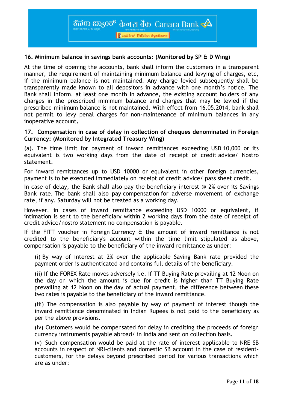<mark>।</mark> <u>∦</u> ಸಿಂಡಿಕೇಟ್ सिंडिकेट Syndicate

### **16. Minimum balance in savings bank accounts: (Monitored by SP & D Wing)**

At the time of opening the accounts, bank shall inform the customers in a transparent manner, the requirement of maintaining minimum balance and levying of charges, etc, if the minimum balance is not maintained. Any charge levied subsequently shall be transparently made known to all depositors in advance with one month's notice. The Bank shall inform, at least one month in advance, the existing account holders of any charges in the prescribed minimum balance and charges that may be levied if the prescribed minimum balance is not maintained. With effect from 16.05.2014, bank shall not permit to levy penal charges for non-maintenance of minimum balances in any inoperative account**.** 

#### **17. Compensation in case of delay in collection of cheques denominated in Foreign Currency: (Monitored by Integrated Treasury Wing)**

(a). The time limit for payment of inward remittances exceeding USD 10,000 or its equivalent is two working days from the date of receipt of credit advice/ Nostro statement.

For inward remittances up to USD 10000 or equivalent in other foreign currencies, payment is to be executed immediately on receipt of credit advice/ pass sheet credit.

In case of delay, the Bank shall also pay the beneficiary interest @ 2% over its Savings Bank rate. The bank shall also pay compensation for adverse movement of exchange rate, if any. Saturday will not be treated as a working day.

However, in cases of inward remittance exceeding USD 10000 or equivalent, if intimation is sent to the beneficiary within 2 working days from the date of receipt of credit advice/nostro statement no compensation is payable.

If the FITT voucher in Foreign Currency & the amount of inward remittance is not credited to the beneficiary's account within the time limit stipulated as above, compensation is payable to the beneficiary of the inward remittance as under:

(i) By way of interest at 2% over the applicable Saving Bank rate provided the payment order is authenticated and contains full details of the beneficiary.

(ii) If the FOREX Rate moves adversely i.e. if TT Buying Rate prevailing at 12 Noon on the day on which the amount is due for credit is higher than TT Buying Rate prevailing at 12 Noon on the day of actual payment, the difference between these two rates is payable to the beneficiary of the inward remittance.

(iii) The compensation is also payable by way of payment of interest though the inward remittance denominated in Indian Rupees is not paid to the beneficiary as per the above provisions.

(iv) Customers would be compensated for delay in crediting the proceeds of foreign currency instruments payable abroad/ in India and sent on collection basis.

(v) Such compensation would be paid at the rate of interest applicable to NRE SB accounts in respect of NRI-clients and domestic SB account in the case of residentcustomers, for the delays beyond prescribed period for various transactions which are as under: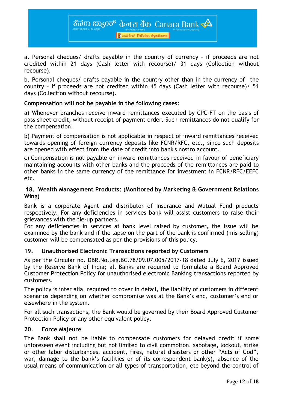<mark>। हैं श्रंट अंग्रेडिकेट Syndicate</mark>

a. Personal cheques/ drafts payable in the country of currency – if proceeds are not credited within 21 days (Cash letter with recourse)/ 31 days (Collection without recourse).

b. Personal cheques/ drafts payable in the country other than in the currency of the country – If proceeds are not credited within 45 days (Cash letter with recourse)/ 51 days (Collection without recourse).

## **Compensation will not be payable in the following cases:**

a) Whenever branches receive inward remittances executed by CPC-FT on the basis of pass sheet credit, without receipt of payment order. Such remittances do not qualify for the compensation.

b) Payment of compensation is not applicable in respect of inward remittances received towards opening of foreign currency deposits like FCNR/RFC, etc., since such deposits are opened with effect from the date of credit into bank's nostro account.

c) Compensation is not payable on inward remittances received in favour of beneficiary maintaining accounts with other banks and the proceeds of the remittances are paid to other banks in the same currency of the remittance for investment in FCNR/RFC/EEFC etc.

## **18. Wealth Management Products: (Monitored by Marketing & Government Relations Wing)**

Bank is a corporate Agent and distributor of Insurance and Mutual Fund products respectively. For any deficiencies in services bank will assist customers to raise their grievances with the tie-up partners.

For any deficiencies in services at bank level raised by customer, the issue will be examined by the bank and if the lapse on the part of the bank is confirmed (mis-selling) customer will be compensated as per the provisions of this policy.

## **19. Unauthorised Electronic Transactions reported by Customers**

As per the Circular no. DBR.No.Leg.BC.78/09.07.005/2017-18 dated July 6, 2017 issued by the Reserve Bank of India; all Banks are required to formulate a Board Approved Customer Protection Policy for unauthorised electronic Banking transactions reported by customers.

The policy is inter alia, required to cover in detail, the liability of customers in different scenarios depending on whether compromise was at the Bank's end, customer's end or elsewhere in the system.

For all such transactions, the Bank would be governed by their Board Approved Customer Protection Policy or any other equivalent policy.

## **20. Force Majeure**

The Bank shall not be liable to compensate customers for delayed credit if some unforeseen event including but not limited to civil commotion, sabotage, lockout, strike or other labor disturbances, accident, fires, natural disasters or other "Acts of God", war, damage to the bank's facilities or of its correspondent bank(s), absence of the usual means of communication or all types of transportation, etc beyond the control of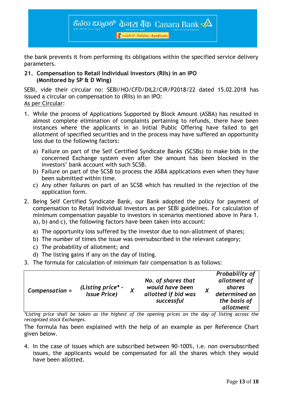

the bank prevents it from performing its obligations within the specified service delivery parameters.

## **21. Compensation to Retail Individual Investors (RIIs) in an IPO (Monitored by SP & D Wing)**

SEBI, vide their circular no: SEBI/HO/CFD/DIL2/CIR/P2018/22 dated 15.02.2018 has issued a circular on compensation to (RIIs) in an IPO: As per Circular:

- 1. While the process of Applications Supported by Block Amount (ASBA) has resulted in almost complete elimination of complaints pertaining to refunds, there have been instances where the applicants in an Initial Public Offering have failed to get allotment of specified securities and in the process may have suffered an opportunity loss due to the following factors:
	- a) Failure on part of the Self Certified Syndicate Banks (SCSBs) to make bids in the concerned Exchange system even after the amount has been blocked in the investors' bank account with such SCSB.
	- b) Failure on part of the SCSB to process the ASBA applications even when they have been submitted within time.
	- c) Any other failures on part of an SCSB which has resulted in the rejection of the application form.
- 2. Being Self Certified Syndicate Bank, our Bank adopted the policy for payment of compensation to Retail Individual Investors as per SEBI guidelines. For calculation of minimum compensation payable to investors in scenarios mentioned above in Para 1. a), b) and c), the following factors have been taken into account:
	- a) The opportunity loss suffered by the investor due to non-allotment of shares;
	- b) The number of times the issue was oversubscribed in the relevant category;
	- c) The probability of allotment; and
	- d) The listing gains if any on the day of listing.
- 3. The formula for calculation of minimum fair compensation is as follows:

| Compensation = | (Listing price* -<br><b>Issue Price)</b> | Λ | No. of shares that<br>would have been<br>allotted if bid was<br>successful | $\lambda$ | Probability of<br>allotment of<br>shares<br>determined on<br>the basis of<br>allotment |
|----------------|------------------------------------------|---|----------------------------------------------------------------------------|-----------|----------------------------------------------------------------------------------------|
|----------------|------------------------------------------|---|----------------------------------------------------------------------------|-----------|----------------------------------------------------------------------------------------|

*\*Listing price shall be taken as the highest of the opening prices on the day of listing across the recognized stock Exchanges.*

The formula has been explained with the help of an example as per Reference Chart given below.

4. In the case of issues which are subscribed between 90-100%, i.e. non oversubscribed issues, the applicants would be compensated for all the shares which they would have been allotted.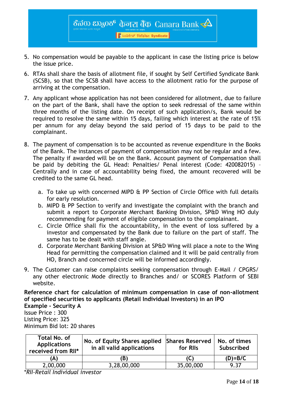

ಕೆನರು ಬ್ಯಾಂಕ್ केनरा बैंक Canara Bank $\prec \!\!\Delta$ 

<mark>।</mark> ਇੰಸಿಂಡಿಕೇಟ್ सिडिकेट Syndicate

- 6. RTAs shall share the basis of allotment file, if sought by Self Certified Syndicate Bank (SCSB), so that the SCSB shall have access to the allotment ratio for the purpose of arriving at the compensation.
- 7. Any applicant whose application has not been considered for allotment, due to failure on the part of the Bank, shall have the option to seek redressal of the same within three months of the listing date. On receipt of such application/s, Bank would be required to resolve the same within 15 days, failing which interest at the rate of 15% per annum for any delay beyond the said period of 15 days to be paid to the complainant.
- 8. The payment of compensation is to be accounted as revenue expenditure in the Books of the Bank. The instances of payment of compensation may not be regular and a few. The penalty if awarded will be on the Bank. Account payment of Compensation shall be paid by debiting the GL Head: Penalties/ Penal interest (Code: 420082015) – Centrally and in case of accountability being fixed, the amount recovered will be credited to the same GL head.
	- a. To take up with concerned MIPD & PP Section of Circle Office with full details for early resolution.
	- b. MIPD & PP Section to verify and investigate the complaint with the branch and submit a report to Corporate Merchant Banking Division, SP&D Wing HO duly recommending for payment of eligible compensation to the complainant.
	- c. Circle Office shall fix the accountability, in the event of loss suffered by a investor and compensated by the Bank due to failure on the part of staff. The same has to be dealt with staff angle.
	- d. Corporate Merchant Banking Division at SP&D Wing will place a note to the Wing Head for permitting the compensation claimed and it will be paid centrally from HO, Branch and concerned circle will be informed accordingly.
- 9. The Customer can raise complaints seeking compensation through E-Mail / CPGRS/ any other electronic Mode directly to Branches and/ or SCORES Platform of SEBI website.

**Reference chart for calculation of minimum compensation in case of non-allotment of specified securities to applicants (Retail Individual Investors) in an IPO** 

**Example - Security A**  Issue Price : 300 Listing Price: 325 Minimum Bid lot: 20 shares

| Total No. of<br><b>Applications</b><br>received from RII* | No. of Equity Shares applied<br>in all valid applications | <b>Shares Reserved</b><br>for RIIs | No. of times<br>Subscribed |
|-----------------------------------------------------------|-----------------------------------------------------------|------------------------------------|----------------------------|
| (A)                                                       | ΈB)                                                       |                                    | $(D)=B/C$                  |
| 2,00,000                                                  | 3,28,00,000                                               | 35,00,000                          | 9.37                       |

\**RII-Retail Individual investor*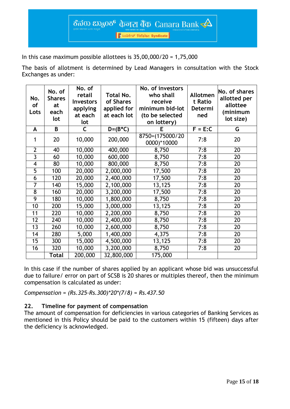<mark>।</mark> हैं **১**০৪ಕೇಟ್ सिडिकेट Syndicate

In this case maximum possible allottees is  $35,00,000/20 = 1,75,000$ 

The basis of allotment is determined by Lead Managers in consultation with the Stock Exchanges as under:

| No.<br>of<br>Lots       | No. of<br><b>Shares</b><br>at<br>each<br>lot | No. of<br>retail<br><b>Investors</b><br>applying<br>at each<br>lot | Total No.<br>of Shares<br>applied for<br>at each lot | No. of investors<br>who shall<br>receive<br>minimum bid-lot<br>(to be selected<br>on lottery) | Allotmen<br>t Ratio<br>Determi<br>ned | No. of shares<br>allotted per<br>allottee<br>(minimum<br>lot size) |
|-------------------------|----------------------------------------------|--------------------------------------------------------------------|------------------------------------------------------|-----------------------------------------------------------------------------------------------|---------------------------------------|--------------------------------------------------------------------|
| A                       | B                                            | C                                                                  | $D=(B*C)$                                            | Е                                                                                             | $F = E:C$                             | G                                                                  |
| 1                       | 20                                           | 10,000                                                             | 200,000                                              | 8750=(175000/20<br>0000)*10000                                                                | 7:8                                   | 20                                                                 |
| $\overline{2}$          | 40                                           | 10,000                                                             | 400,000                                              | 8,750                                                                                         | 7:8                                   | 20                                                                 |
| $\overline{3}$          | 60                                           | 10,000                                                             | 600,000                                              | 8,750                                                                                         | 7:8                                   | 20                                                                 |
| $\overline{\mathbf{4}}$ | 80                                           | 10,000                                                             | 800,000                                              | 8,750                                                                                         | 7:8                                   | 20                                                                 |
| 5                       | 100                                          | 20,000                                                             | 2,000,000                                            | 17,500                                                                                        | 7:8                                   | 20                                                                 |
| 6                       | 120                                          | 20,000                                                             | 2,400,000                                            | 17,500                                                                                        | 7:8                                   | 20                                                                 |
| 7                       | 140                                          | 15,000                                                             | 2,100,000                                            | 13,125                                                                                        | 7:8                                   | 20                                                                 |
| $\overline{8}$          | 160                                          | 20,000                                                             | 3,200,000                                            | 17,500                                                                                        | 7:8                                   | 20                                                                 |
| 9                       | 180                                          | 10,000                                                             | 1,800,000                                            | 8,750                                                                                         | 7:8                                   | 20                                                                 |
| 10                      | 200                                          | 15,000                                                             | $\overline{3,000,000}$                               | 13,125                                                                                        | 7:8                                   | 20                                                                 |
| 11                      | 220                                          | 10,000                                                             | 2,200,000                                            | 8,750                                                                                         | 7:8                                   | 20                                                                 |
| 12                      | 240                                          | 10,000                                                             | $\overline{2}$ ,400,000                              | 8,750                                                                                         | 7:8                                   | 20                                                                 |
| 13                      | 260                                          | 10,000                                                             | 2,600,000                                            | 8,750                                                                                         | 7:8                                   | 20                                                                 |
| 14                      | 280                                          | 5,000                                                              | 1,400,000                                            | 4,375                                                                                         | 7:8                                   | 20                                                                 |
| 15                      | 300                                          | 15,000                                                             | 4,500,000                                            | 13,125                                                                                        | 7:8                                   | 20                                                                 |
| 16                      | 320                                          | 10,000                                                             | 3,200,000                                            | 8,750                                                                                         | 7:8                                   | 20                                                                 |
|                         | <b>Total</b>                                 | 200,000                                                            | 32,800,000                                           | 175,000                                                                                       |                                       |                                                                    |

In this case if the number of shares applied by an applicant whose bid was unsuccessful due to failure/ error on part of SCSB is 20 shares or multiples thereof, then the minimum compensation is calculated as under:

*Compensation = (Rs.325-Rs.300)\*20\*(7/8) = Rs.437.50*

## **22. Timeline for payment of compensation**

The amount of compensation for deficiencies in various categories of Banking Services as mentioned in this Policy should be paid to the customers within 15 (fifteen) days after the deficiency is acknowledged.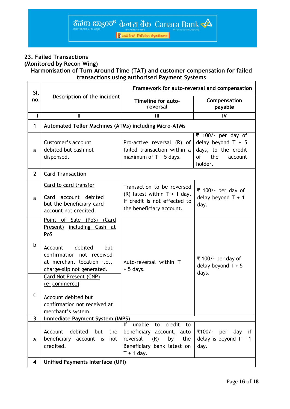<mark>।</mark> हैं 2003 रियोजिकट Syndicate

## **23. Failed Transactions (Monitored by Recon Wing)**

## **Harmonisation of Turn Around Time (TAT) and customer compensation for failed transactions using authorised Payment Systems**

| SI.                     |                                                                                                                                                                                                                                                                                               | Framework for auto-reversal and compensation                                                                             |                                                                                                                                                                                                                                                                                                                                     |  |  |  |
|-------------------------|-----------------------------------------------------------------------------------------------------------------------------------------------------------------------------------------------------------------------------------------------------------------------------------------------|--------------------------------------------------------------------------------------------------------------------------|-------------------------------------------------------------------------------------------------------------------------------------------------------------------------------------------------------------------------------------------------------------------------------------------------------------------------------------|--|--|--|
| no.                     | Description of the incident                                                                                                                                                                                                                                                                   | Timeline for auto-<br>reversal                                                                                           | Compensation<br>payable                                                                                                                                                                                                                                                                                                             |  |  |  |
| $\mathbf{I}$            | $\mathbf{I}$                                                                                                                                                                                                                                                                                  | Ш                                                                                                                        | IV                                                                                                                                                                                                                                                                                                                                  |  |  |  |
| 1                       | <b>Automated Teller Machines (ATMs) including Micro-ATMs</b>                                                                                                                                                                                                                                  |                                                                                                                          |                                                                                                                                                                                                                                                                                                                                     |  |  |  |
| a                       | Customer's account<br>debited but cash not<br>dispensed.                                                                                                                                                                                                                                      | Pro-active reversal (R) of<br>failed transaction within a<br>maximum of $T + 5$ days.                                    | ₹ 100/- per day of<br>delay beyond $T + 5$<br>days, to the credit<br>of the control of the control of the control of the control of the control of the control of the control of th<br>Separate control of the control of the control of the control of the control of the control of the control of t<br>the<br>account<br>holder. |  |  |  |
| $\overline{2}$          | <b>Card Transaction</b>                                                                                                                                                                                                                                                                       |                                                                                                                          |                                                                                                                                                                                                                                                                                                                                     |  |  |  |
| a                       | Card to card transfer<br>Card account debited<br>but the beneficiary card<br>account not credited.                                                                                                                                                                                            | Transaction to be reversed<br>(R) latest within $T + 1$ day,<br>if credit is not effected to<br>the beneficiary account. | ₹ 100/- per day of<br>delay beyond $T + 1$<br>day.                                                                                                                                                                                                                                                                                  |  |  |  |
| b<br>C                  | Point of Sale (PoS) (Card<br>Present) including Cash at<br>PoS<br>debited<br>Account<br><b>but</b><br>confirmation not received<br>at merchant location i.e.,<br>charge-slip not generated.<br>Card Not Present (CNP)<br>(e- commerce)<br>Account debited but<br>confirmation not received at | Auto-reversal within T<br>$+5$ days.                                                                                     | ₹ 100/- per day of<br>delay beyond $T + 5$<br>days.                                                                                                                                                                                                                                                                                 |  |  |  |
| $\mathbf{3}$            | merchant's system.<br><b>Immediate Payment System (IMPS)</b>                                                                                                                                                                                                                                  |                                                                                                                          |                                                                                                                                                                                                                                                                                                                                     |  |  |  |
|                         |                                                                                                                                                                                                                                                                                               | unable<br>credit<br>to<br>lf.<br>to                                                                                      |                                                                                                                                                                                                                                                                                                                                     |  |  |  |
| a                       | debited<br>but<br>Account<br>the<br>beneficiary<br>account is<br>not<br>credited.                                                                                                                                                                                                             | beneficiary account, auto<br>reversal<br>by<br>(R)<br>the<br>Beneficiary bank latest on<br>$T + 1$ day.                  | ₹100/-<br>per<br>day if<br>delay is beyond $T + 1$<br>day.                                                                                                                                                                                                                                                                          |  |  |  |
| $\overline{\mathbf{4}}$ | <b>Unified Payments Interface (UPI)</b>                                                                                                                                                                                                                                                       |                                                                                                                          |                                                                                                                                                                                                                                                                                                                                     |  |  |  |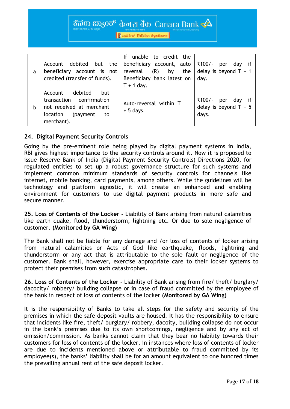<mark>।</mark> *L*oaset सिडिकेट Syndicate

| a | debited but the<br>Account<br>beneficiary account is not<br>credited (transfer of funds).                                     | unable to credit the<br>lf<br>beneficiary account, auto<br>(R)<br>reversal<br>the<br>by<br>Beneficiary bank latest on<br>$T + 1$ day. | ₹100/-<br>if<br>per<br>dav<br>delay is beyond $T + 1$<br>day.  |
|---|-------------------------------------------------------------------------------------------------------------------------------|---------------------------------------------------------------------------------------------------------------------------------------|----------------------------------------------------------------|
| b | debited<br>Account<br>but<br>transaction confirmation<br>not received at merchant<br>(payment<br>location<br>to<br>merchant). | Auto-reversal within T<br>$+5$ days.                                                                                                  | ₹100/-<br>if<br>per<br>dav<br>delay is beyond $T + 5$<br>days. |

#### **24. Digital Payment Security Controls**

Going by the pre-eminent role being played by digital payment systems in India, RBI gives highest importance to the security controls around it. Now it is proposed to issue Reserve Bank of India (Digital Payment Security Controls) Directions 2020, for regulated entities to set up a robust governance structure for such systems and implement common minimum standards of security controls for channels like internet, mobile banking, card payments, among others. While the guidelines will be technology and platform agnostic, it will create an enhanced and enabling environment for customers to use digital payment products in more safe and secure manner.

**25. Loss of Contents of the Locker -** Liability of Bank arising from natural calamities like earth quake, flood, thunderstorm, lightning etc. Or due to sole negligence of customer. **(Monitored by GA Wing)**

The Bank shall not be liable for any damage and /or loss of contents of locker arising from natural calamities or Acts of God like earthquake, floods, lightning and thunderstorm or any act that is attributable to the sole fault or negligence of the customer. Bank shall, however, exercise appropriate care to their locker systems to protect their premises from such catastrophes.

**26. Loss of Contents of the Locker -** Liability of Bank arising from fire/ theft/ burglary/ dacocity/ robbery/ building collapse or in case of fraud committed by the employee of the bank in respect of loss of contents of the locker **(Monitored by GA Wing)**

It is the responsibility of Banks to take all steps for the safety and security of the premises in which the safe deposit vaults are housed. It has the responsibility to ensure that incidents like fire, theft/ burglary/ robbery, dacoity, building collapse do not occur in the bank's premises due to its own shortcomings, negligence and by any act of omission/commission. As banks cannot claim that they bear no liability towards their customers for loss of contents of the locker, in instances where loss of contents of locker are due to incidents mentioned above or attributable to fraud committed by its employee(s), the banks' liability shall be for an amount equivalent to one hundred times the prevailing annual rent of the safe deposit locker.